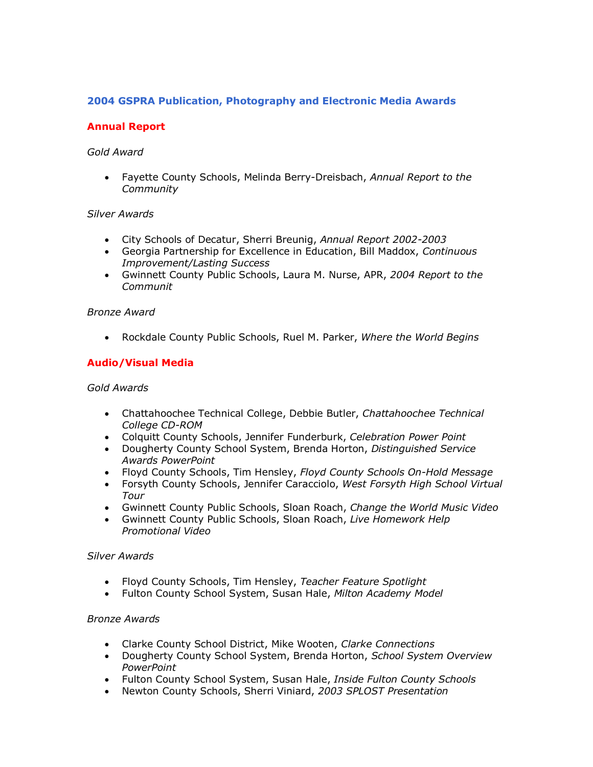# **2004 GSPRA Publication, Photography and Electronic Media Awards**

# **Annual Report**

### *Gold Award*

· Fayette County Schools, Melinda BerryDreisbach, *Annual Report to the Community* 

### *Silver Awards*

- · City Schools of Decatur, Sherri Breunig, *Annual Report 20022003*
- · Georgia Partnership for Excellence in Education, Bill Maddox, *Continuous Improvement/Lasting Success*
- · Gwinnett County Public Schools, Laura M. Nurse, APR, *2004 Report to the Communit*

### *Bronze Award*

· Rockdale County Public Schools, Ruel M. Parker, *Where the World Begins*

## **Audio/Visual Media**

### *Gold Awards*

- · Chattahoochee Technical College, Debbie Butler, *Chattahoochee Technical* College CD-ROM
- · Colquitt County Schools, Jennifer Funderburk, *Celebration Power Point*
- · Dougherty County School System, Brenda Horton, *Distinguished Service Awards PowerPoint*
- Floyd County Schools, Tim Hensley, Floyd County Schools On-Hold Message
- · Forsyth County Schools, Jennifer Caracciolo, *West Forsyth High School Virtual Tour*
- · Gwinnett County Public Schools, Sloan Roach, *Change the World Music Video*
- · Gwinnett County Public Schools, Sloan Roach, *Live Homework Help Promotional Video*

## *Silver Awards*

- · Floyd County Schools, Tim Hensley, *Teacher Feature Spotlight*
- · Fulton County School System, Susan Hale, *Milton Academy Model*

#### *Bronze Awards*

- · Clarke County School District, Mike Wooten, *Clarke Connections*
- · Dougherty County School System, Brenda Horton, *School System Overview PowerPoint*
- · Fulton County School System, Susan Hale, *Inside Fulton County Schools*
- · Newton County Schools, Sherri Viniard, *2003 SPLOST Presentation*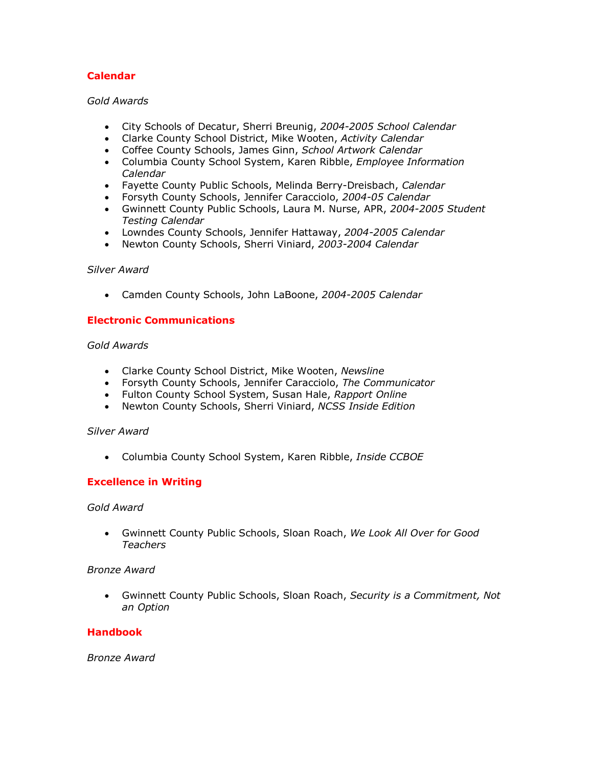# **Calendar**

## *Gold Awards*

- · City Schools of Decatur, Sherri Breunig, *20042005 School Calendar*
- · Clarke County School District, Mike Wooten, *Activity Calendar*
- · Coffee County Schools, James Ginn, *School Artwork Calendar*
- · Columbia County School System, Karen Ribble, *Employee Information Calendar*
- Fayette County Public Schools, Melinda Berry-Dreisbach, Calendar
- Forsyth County Schools, Jennifer Caracciolo, 2004-05 Calendar
- Gwinnett County Public Schools, Laura M. Nurse, APR, 2004-2005 Student *Testing Calendar*
- Lowndes County Schools, Jennifer Hattaway, 2004-2005 Calendar
- · Newton County Schools, Sherri Viniard, *20032004 Calendar*

### *Silver Award*

• Camden County Schools, John LaBoone, 2004-2005 Calendar

### **Electronic Communications**

### *Gold Awards*

- · Clarke County School District, Mike Wooten, *Newsline*
- · Forsyth County Schools, Jennifer Caracciolo, *The Communicator*
- · Fulton County School System, Susan Hale, *Rapport Online*
- · Newton County Schools, Sherri Viniard, *NCSS Inside Edition*

#### *Silver Award*

· Columbia County School System, Karen Ribble, *Inside CCBOE*

## **Excellence in Writing**

#### *Gold Award*

· Gwinnett County Public Schools, Sloan Roach, *We Look All Over for Good Teachers* 

#### *Bronze Award*

· Gwinnett County Public Schools, Sloan Roach, *Security is a Commitment, Not an Option*

## **Handbook**

*Bronze Award*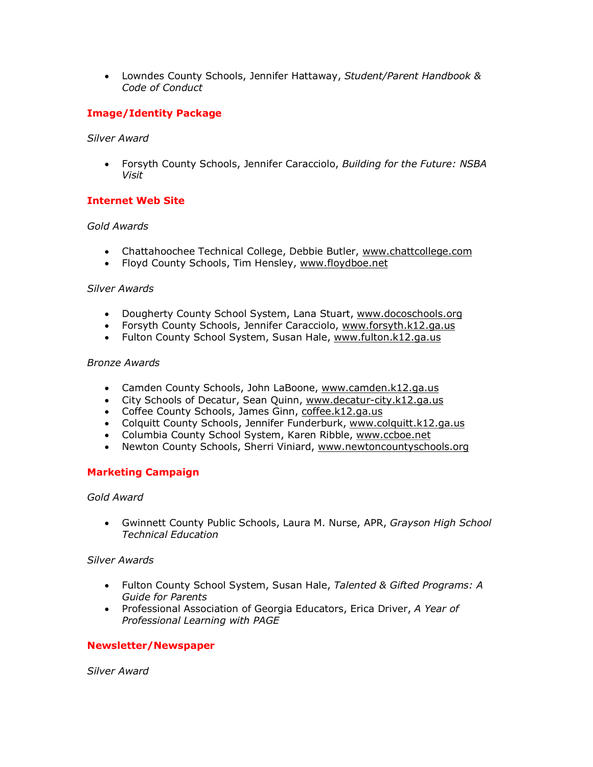· Lowndes County Schools, Jennifer Hattaway, *Student/Parent Handbook & Code of Conduct*

# **Image/Identity Package**

### *Silver Award*

· Forsyth County Schools, Jennifer Caracciolo, *Building for the Future: NSBA Visit*

## **Internet Web Site**

### *Gold Awards*

- · Chattahoochee Technical College, Debbie Butler, [www.chattcollege.com](http://www.chattcollege.com/)
- · Floyd County Schools, Tim Hensley, [www.floydboe.net](http://www.floydboe.net/)

### *Silver Awards*

- · Dougherty County School System, Lana Stuart, [www.docoschools.org](http://www.docoschools.org/)
- · Forsyth County Schools, Jennifer Caracciolo, [www.forsyth.k12.ga.us](http://www.forsyth.k12.ga.us/)
- · Fulton County School System, Susan Hale, [www.fulton.k12.ga.us](http://www.fulton.k12.ga.us/)

### *Bronze Awards*

- Camden County Schools, John LaBoone, [www.camden.k12.ga.us](http://www.camden.k12.ga.us/)
- City Schools of Decatur, Sean Quinn, www.decatur-city.k12.ga.us
- Coffee County Schools, James Ginn, [coffee.k12.ga.us](http://coffee.k12.ga.us/)
- Colquitt County Schools, Jennifer Funderburk, [www.colquitt.k12.ga.us](http://www.colquitt.k12.ga.us/)
- · Columbia County School System, Karen Ribble, [www.ccboe.net](http://www.ccboe.net/)
- · Newton County Schools, Sherri Viniard, [www.newtoncountyschools.org](http://www.newtoncountyschools.org/)

## **Marketing Campaign**

## *Gold Award*

· Gwinnett County Public Schools, Laura M. Nurse, APR, *Grayson High School Technical Education*

### *Silver Awards*

- · Fulton County School System, Susan Hale, *Talented & Gifted Programs: A Guide for Parents*
- · Professional Association of Georgia Educators, Erica Driver, *A Year of Professional Learning with PAGE*

## **Newsletter/Newspaper**

*Silver Award*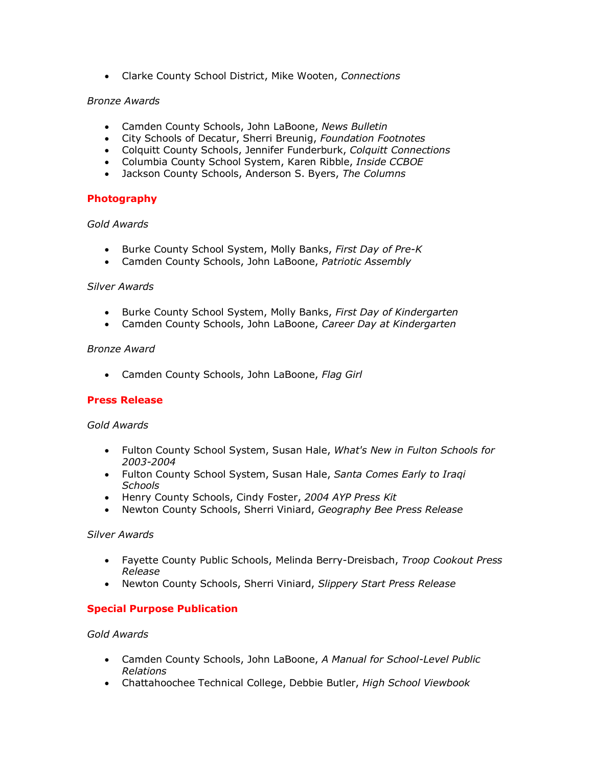· Clarke County School District, Mike Wooten, *Connections* 

## *Bronze Awards*

- · Camden County Schools, John LaBoone, *News Bulletin*
- · City Schools of Decatur, Sherri Breunig, *Foundation Footnotes*
- · Colquitt County Schools, Jennifer Funderburk, *Colquitt Connections*
- · Columbia County School System, Karen Ribble, *Inside CCBOE*
- · Jackson County Schools, Anderson S. Byers, *The Columns*

## **Photography**

## *Gold Awards*

- · Burke County School System, Molly Banks, *First Day of PreK*
- · Camden County Schools, John LaBoone, *Patriotic Assembly*

## *Silver Awards*

- · Burke County School System, Molly Banks, *First Day of Kindergarten*
- · Camden County Schools, John LaBoone, *Career Day at Kindergarten*

### *Bronze Award*

· Camden County Schools, John LaBoone, *Flag Girl*

## **Press Release**

## *Gold Awards*

- · Fulton County School System, Susan Hale, *What's New in Fulton Schools for 20032004*
- · Fulton County School System, Susan Hale, *Santa Comes Early to Iraqi Schools*
- · Henry County Schools, Cindy Foster, *2004 AYP Press Kit*
- · Newton County Schools, Sherri Viniard, *Geography Bee Press Release*

## *Silver Awards*

- · Fayette County Public Schools, Melinda BerryDreisbach, *Troop Cookout Press Release*
- · Newton County Schools, Sherri Viniard, *Slippery Start Press Release*

## **Special Purpose Publication**

## *Gold Awards*

- Camden County Schools, John LaBoone, A Manual for School-Level Public *Relations*
- · Chattahoochee Technical College, Debbie Butler, *High School Viewbook*